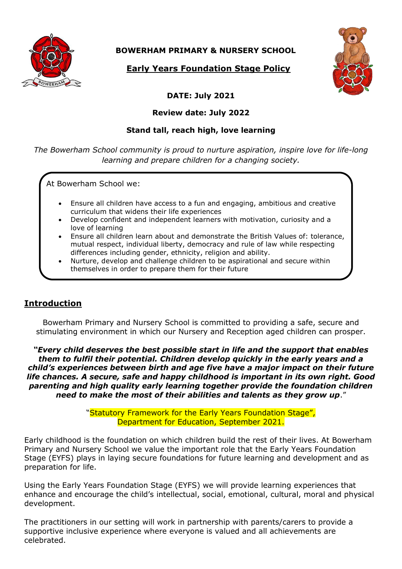

 **BOWERHAM PRIMARY & NURSERY SCHOOL**

 **Early Years Foundation Stage Policy**



# **DATE: July 2021**

#### **Review date: July 2022**

#### **Stand tall, reach high, love learning**

*The Bowerham School community is proud to nurture aspiration, inspire love for life-long learning and prepare children for a changing society.*

At Bowerham School we:

- Ensure all children have access to a fun and engaging, ambitious and creative curriculum that widens their life experiences
- Develop confident and independent learners with motivation, curiosity and a love of learning
- Ensure all children learn about and demonstrate the British Values of: tolerance, mutual respect, individual liberty, democracy and rule of law while respecting differences including gender, ethnicity, religion and ability.
- Nurture, develop and challenge children to be aspirational and secure within themselves in order to prepare them for their future

## **Introduction**

Bowerham Primary and Nursery School is committed to providing a safe, secure and stimulating environment in which our Nursery and Reception aged children can prosper.

*"Every child deserves the best possible start in life and the support that enables them to fulfil their potential. Children develop quickly in the early years and a child's experiences between birth and age five have a major impact on their future life chances. A secure, safe and happy childhood is important in its own right. Good parenting and high quality early learning together provide the foundation children need to make the most of their abilities and talents as they grow up*."

> "Statutory Framework for the Early Years Foundation Stage", Department for Education, September 2021.

Early childhood is the foundation on which children build the rest of their lives. At Bowerham Primary and Nursery School we value the important role that the Early Years Foundation Stage (EYFS) plays in laying secure foundations for future learning and development and as preparation for life.

Using the Early Years Foundation Stage (EYFS) we will provide learning experiences that enhance and encourage the child's intellectual, social, emotional, cultural, moral and physical development.

The practitioners in our setting will work in partnership with parents/carers to provide a supportive inclusive experience where everyone is valued and all achievements are celebrated.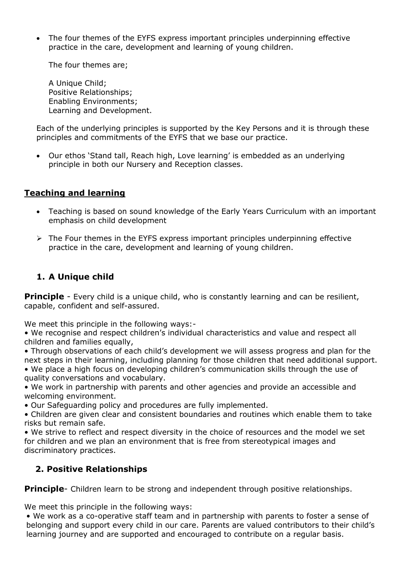The four themes of the EYFS express important principles underpinning effective practice in the care, development and learning of young children.

The four themes are;

A Unique Child; Positive Relationships; Enabling Environments; Learning and Development.

Each of the underlying principles is supported by the Key Persons and it is through these principles and commitments of the EYFS that we base our practice.

 Our ethos 'Stand tall, Reach high, Love learning' is embedded as an underlying principle in both our Nursery and Reception classes.

#### **Teaching and learning**

- Teaching is based on sound knowledge of the Early Years Curriculum with an important emphasis on child development
- $\triangleright$  The Four themes in the EYFS express important principles underpinning effective practice in the care, development and learning of young children.

## **1. A Unique child**

**Principle** - Every child is a unique child, who is constantly learning and can be resilient, capable, confident and self-assured.

We meet this principle in the following ways:-

• We recognise and respect children's individual characteristics and value and respect all children and families equally,

• Through observations of each child's development we will assess progress and plan for the next steps in their learning, including planning for those children that need additional support.

• We place a high focus on developing children's communication skills through the use of quality conversations and vocabulary.

• We work in partnership with parents and other agencies and provide an accessible and welcoming environment.

• Our Safeguarding policy and procedures are fully implemented.

• Children are given clear and consistent boundaries and routines which enable them to take risks but remain safe.

• We strive to reflect and respect diversity in the choice of resources and the model we set for children and we plan an environment that is free from stereotypical images and discriminatory practices.

## **2. Positive Relationships**

**Principle**- Children learn to be strong and independent through positive relationships.

We meet this principle in the following ways:

• We work as a co-operative staff team and in partnership with parents to foster a sense of belonging and support every child in our care. Parents are valued contributors to their child's learning journey and are supported and encouraged to contribute on a regular basis.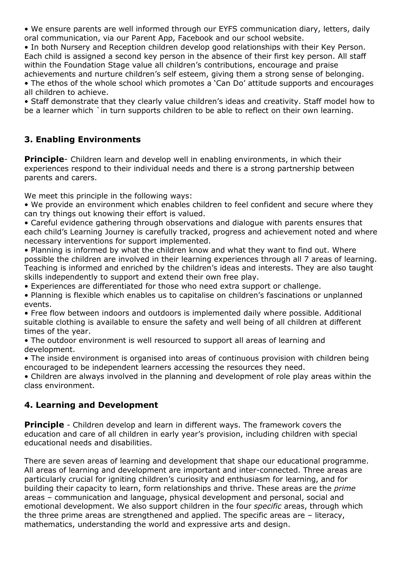• We ensure parents are well informed through our EYFS communication diary, letters, daily oral communication, via our Parent App, Facebook and our school website.

• In both Nursery and Reception children develop good relationships with their Key Person. Each child is assigned a second key person in the absence of their first key person. All staff within the Foundation Stage value all children's contributions, encourage and praise achievements and nurture children's self esteem, giving them a strong sense of belonging.

• The ethos of the whole school which promotes a 'Can Do' attitude supports and encourages all children to achieve.

• Staff demonstrate that they clearly value children's ideas and creativity. Staff model how to be a learner which `in turn supports children to be able to reflect on their own learning.

## **3. Enabling Environments**

**Principle**- Children learn and develop well in enabling environments, in which their experiences respond to their individual needs and there is a strong partnership between parents and carers.

We meet this principle in the following ways:

• We provide an environment which enables children to feel confident and secure where they can try things out knowing their effort is valued.

• Careful evidence gathering through observations and dialogue with parents ensures that each child's Learning Journey is carefully tracked, progress and achievement noted and where necessary interventions for support implemented.

• Planning is informed by what the children know and what they want to find out. Where possible the children are involved in their learning experiences through all 7 areas of learning. Teaching is informed and enriched by the children's ideas and interests. They are also taught skills independently to support and extend their own free play.

• Experiences are differentiated for those who need extra support or challenge.

• Planning is flexible which enables us to capitalise on children's fascinations or unplanned events.

• Free flow between indoors and outdoors is implemented daily where possible. Additional suitable clothing is available to ensure the safety and well being of all children at different times of the year.

• The outdoor environment is well resourced to support all areas of learning and development.

• The inside environment is organised into areas of continuous provision with children being encouraged to be independent learners accessing the resources they need.

• Children are always involved in the planning and development of role play areas within the class environment.

## **4. Learning and Development**

**Principle** - Children develop and learn in different ways. The framework covers the education and care of all children in early year's provision, including children with special educational needs and disabilities.

There are seven areas of learning and development that shape our educational programme. All areas of learning and development are important and inter-connected. Three areas are particularly crucial for igniting children's curiosity and enthusiasm for learning, and for building their capacity to learn, form relationships and thrive. These areas are the *prime* areas – communication and language, physical development and personal, social and emotional development. We also support children in the four *specific* areas, through which the three prime areas are strengthened and applied. The specific areas are – literacy, mathematics, understanding the world and expressive arts and design.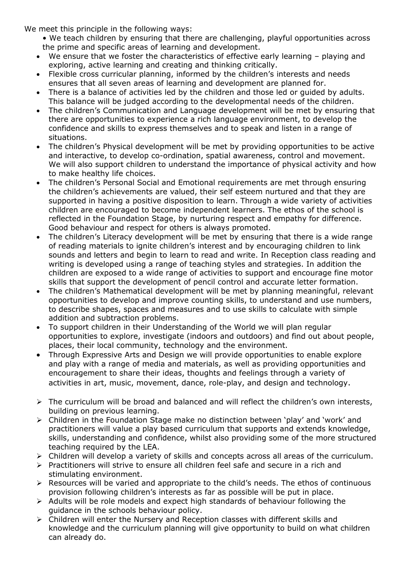We meet this principle in the following ways:

- We teach children by ensuring that there are challenging, playful opportunities across the prime and specific areas of learning and development.
- We ensure that we foster the characteristics of effective early learning playing and exploring, active learning and creating and thinking critically.
- Flexible cross curricular planning, informed by the children's interests and needs ensures that all seven areas of learning and development are planned for.
- There is a balance of activities led by the children and those led or guided by adults. This balance will be judged according to the developmental needs of the children.
- The children's Communication and Language development will be met by ensuring that there are opportunities to experience a rich language environment, to develop the confidence and skills to express themselves and to speak and listen in a range of situations.
- The children's Physical development will be met by providing opportunities to be active and interactive, to develop co-ordination, spatial awareness, control and movement. We will also support children to understand the importance of physical activity and how to make healthy life choices.
- The children's Personal Social and Emotional requirements are met through ensuring the children's achievements are valued, their self esteem nurtured and that they are supported in having a positive disposition to learn. Through a wide variety of activities children are encouraged to become independent learners. The ethos of the school is reflected in the Foundation Stage, by nurturing respect and empathy for difference. Good behaviour and respect for others is always promoted.
- The children's Literacy development will be met by ensuring that there is a wide range of reading materials to ignite children's interest and by encouraging children to link sounds and letters and begin to learn to read and write. In Reception class reading and writing is developed using a range of teaching styles and strategies. In addition the children are exposed to a wide range of activities to support and encourage fine motor skills that support the development of pencil control and accurate letter formation.
- The children's Mathematical development will be met by planning meaningful, relevant opportunities to develop and improve counting skills, to understand and use numbers, to describe shapes, spaces and measures and to use skills to calculate with simple addition and subtraction problems.
- To support children in their Understanding of the World we will plan regular opportunities to explore, investigate (indoors and outdoors) and find out about people, places, their local community, technology and the environment.
- Through Expressive Arts and Design we will provide opportunities to enable explore and play with a range of media and materials, as well as providing opportunities and encouragement to share their ideas, thoughts and feelings through a variety of activities in art, music, movement, dance, role-play, and design and technology.
- $\triangleright$  The curriculum will be broad and balanced and will reflect the children's own interests, building on previous learning.
- Children in the Foundation Stage make no distinction between 'play' and 'work' and practitioners will value a play based curriculum that supports and extends knowledge, skills, understanding and confidence, whilst also providing some of the more structured teaching required by the LEA.
- Children will develop a variety of skills and concepts across all areas of the curriculum.
- $\triangleright$  Practitioners will strive to ensure all children feel safe and secure in a rich and stimulating environment.
- $\triangleright$  Resources will be varied and appropriate to the child's needs. The ethos of continuous provision following children's interests as far as possible will be put in place.
- $\triangleright$  Adults will be role models and expect high standards of behaviour following the guidance in the schools behaviour policy.
- Children will enter the Nursery and Reception classes with different skills and knowledge and the curriculum planning will give opportunity to build on what children can already do.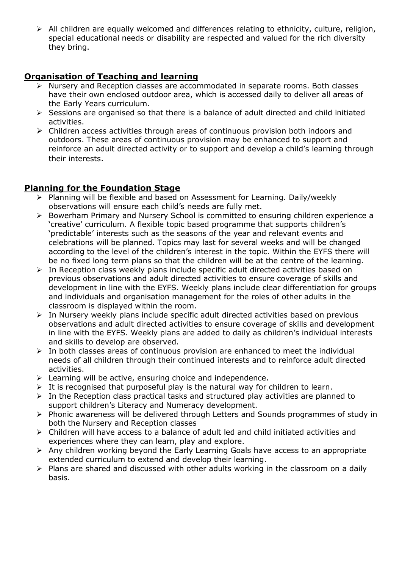$\triangleright$  All children are equally welcomed and differences relating to ethnicity, culture, religion, special educational needs or disability are respected and valued for the rich diversity they bring.

## **Organisation of Teaching and learning**

- $\triangleright$  Nursery and Reception classes are accommodated in separate rooms. Both classes have their own enclosed outdoor area, which is accessed daily to deliver all areas of the Early Years curriculum.
- $\triangleright$  Sessions are organised so that there is a balance of adult directed and child initiated activities.
- Children access activities through areas of continuous provision both indoors and outdoors. These areas of continuous provision may be enhanced to support and reinforce an adult directed activity or to support and develop a child's learning through their interests.

## **Planning for the Foundation Stage**

- Planning will be flexible and based on Assessment for Learning. Daily/weekly observations will ensure each child's needs are fully met.
- Bowerham Primary and Nursery School is committed to ensuring children experience a 'creative' curriculum. A flexible topic based programme that supports children's 'predictable' interests such as the seasons of the year and relevant events and celebrations will be planned. Topics may last for several weeks and will be changed according to the level of the children's interest in the topic. Within the EYFS there will be no fixed long term plans so that the children will be at the centre of the learning.
- $\triangleright$  In Reception class weekly plans include specific adult directed activities based on previous observations and adult directed activities to ensure coverage of skills and development in line with the EYFS. Weekly plans include clear differentiation for groups and individuals and organisation management for the roles of other adults in the classroom is displayed within the room.
- $\triangleright$  In Nursery weekly plans include specific adult directed activities based on previous observations and adult directed activities to ensure coverage of skills and development in line with the EYFS. Weekly plans are added to daily as children's individual interests and skills to develop are observed.
- $\triangleright$  In both classes areas of continuous provision are enhanced to meet the individual needs of all children through their continued interests and to reinforce adult directed activities.
- $\triangleright$  Learning will be active, ensuring choice and independence.
- $\triangleright$  It is recognised that purposeful play is the natural way for children to learn.
- $\triangleright$  In the Reception class practical tasks and structured play activities are planned to support children's Literacy and Numeracy development.
- $\triangleright$  Phonic awareness will be delivered through Letters and Sounds programmes of study in both the Nursery and Reception classes
- Children will have access to a balance of adult led and child initiated activities and experiences where they can learn, play and explore.
- $\triangleright$  Any children working beyond the Early Learning Goals have access to an appropriate extended curriculum to extend and develop their learning.
- $\triangleright$  Plans are shared and discussed with other adults working in the classroom on a daily basis.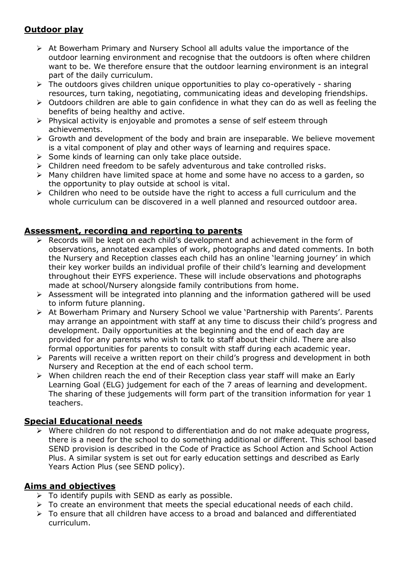# **Outdoor play**

- At Bowerham Primary and Nursery School all adults value the importance of the outdoor learning environment and recognise that the outdoors is often where children want to be. We therefore ensure that the outdoor learning environment is an integral part of the daily curriculum.
- $\triangleright$  The outdoors gives children unique opportunities to play co-operatively sharing resources, turn taking, negotiating, communicating ideas and developing friendships.
- $\triangleright$  Outdoors children are able to gain confidence in what they can do as well as feeling the benefits of being healthy and active.
- $\triangleright$  Physical activity is enjoyable and promotes a sense of self esteem through achievements.
- $\triangleright$  Growth and development of the body and brain are inseparable. We believe movement is a vital component of play and other ways of learning and requires space.
- $\triangleright$  Some kinds of learning can only take place outside.
- $\triangleright$  Children need freedom to be safely adventurous and take controlled risks.
- $\triangleright$  Many children have limited space at home and some have no access to a garden, so the opportunity to play outside at school is vital.
- $\triangleright$  Children who need to be outside have the right to access a full curriculum and the whole curriculum can be discovered in a well planned and resourced outdoor area.

#### **Assessment, recording and reporting to parents**

- Records will be kept on each child's development and achievement in the form of observations, annotated examples of work, photographs and dated comments. In both the Nursery and Reception classes each child has an online 'learning journey' in which their key worker builds an individual profile of their child's learning and development throughout their EYFS experience. These will include observations and photographs made at school/Nursery alongside family contributions from home.
- $\triangleright$  Assessment will be integrated into planning and the information gathered will be used to inform future planning.
- At Bowerham Primary and Nursery School we value 'Partnership with Parents'. Parents may arrange an appointment with staff at any time to discuss their child's progress and development. Daily opportunities at the beginning and the end of each day are provided for any parents who wish to talk to staff about their child. There are also formal opportunities for parents to consult with staff during each academic year.
- ▶ Parents will receive a written report on their child's progress and development in both Nursery and Reception at the end of each school term.
- $\triangleright$  When children reach the end of their Reception class year staff will make an Early Learning Goal (ELG) judgement for each of the 7 areas of learning and development. The sharing of these judgements will form part of the transition information for year 1 teachers.

#### **Special Educational needs**

 Where children do not respond to differentiation and do not make adequate progress, there is a need for the school to do something additional or different. This school based SEND provision is described in the Code of Practice as School Action and School Action Plus. A similar system is set out for early education settings and described as Early Years Action Plus (see SEND policy).

#### **Aims and objectives**

- $\triangleright$  To identify pupils with SEND as early as possible.
- $\triangleright$  To create an environment that meets the special educational needs of each child.
- $\triangleright$  To ensure that all children have access to a broad and balanced and differentiated curriculum.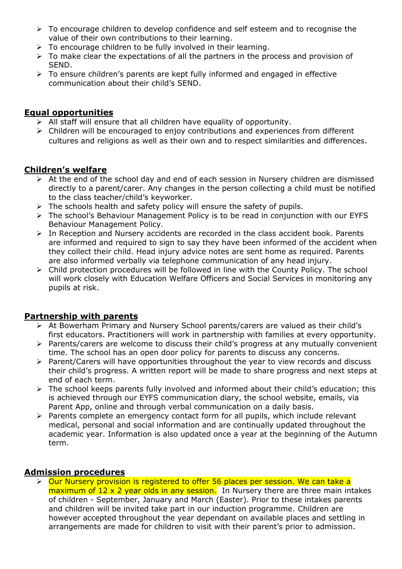- $\triangleright$  To encourage children to develop confidence and self esteem and to recognise the value of their own contributions to their learning.
- $\triangleright$  To encourage children to be fully involved in their learning.
- $\triangleright$  To make clear the expectations of all the partners in the process and provision of SEND.
- $\triangleright$  To ensure children's parents are kept fully informed and engaged in effective communication about their child's SEND.

### **Equal opportunities**

- $\triangleright$  All staff will ensure that all children have equality of opportunity.
- Children will be encouraged to enjoy contributions and experiences from different cultures and religions as well as their own and to respect similarities and differences.

#### **Children's welfare**

- $\triangleright$  At the end of the school day and end of each session in Nursery children are dismissed directly to a parent/carer. Any changes in the person collecting a child must be notified to the class teacher/child's keyworker.
- $\triangleright$  The schools health and safety policy will ensure the safety of pupils.
- The school's Behaviour Management Policy is to be read in conjunction with our EYFS Behaviour Management Policy.
- $\triangleright$  In Reception and Nursery accidents are recorded in the class accident book. Parents are informed and required to sign to say they have been informed of the accident when they collect their child. Head injury advice notes are sent home as required. Parents are also informed verbally via telephone communication of any head injury.
- $\triangleright$  Child protection procedures will be followed in line with the County Policy. The school will work closely with Education Welfare Officers and Social Services in monitoring any pupils at risk.

## **Partnership with parents**

- At Bowerham Primary and Nursery School parents/carers are valued as their child's first educators. Practitioners will work in partnership with families at every opportunity.
- $\triangleright$  Parents/carers are welcome to discuss their child's progress at any mutually convenient time. The school has an open door policy for parents to discuss any concerns.
- $\triangleright$  Parent/Carers will have opportunities throughout the year to view records and discuss their child's progress. A written report will be made to share progress and next steps at end of each term.
- $\triangleright$  The school keeps parents fully involved and informed about their child's education; this is achieved through our EYFS communication diary, the school website, emails, via Parent App, online and through verbal communication on a daily basis.
- $\triangleright$  Parents complete an emergency contact form for all pupils, which include relevant medical, personal and social information and are continually updated throughout the academic year. Information is also updated once a year at the beginning of the Autumn term.

## **Admission procedures**

> Our Nursery provision is registered to offer 56 places per session. We can take a maximum of 12 x 2 year olds in any session. In Nursery there are three main intakes of children - September, January and March (Easter). Prior to these intakes parents and children will be invited take part in our induction programme. Children are however accepted throughout the year dependant on available places and settling in arrangements are made for children to visit with their parent's prior to admission.